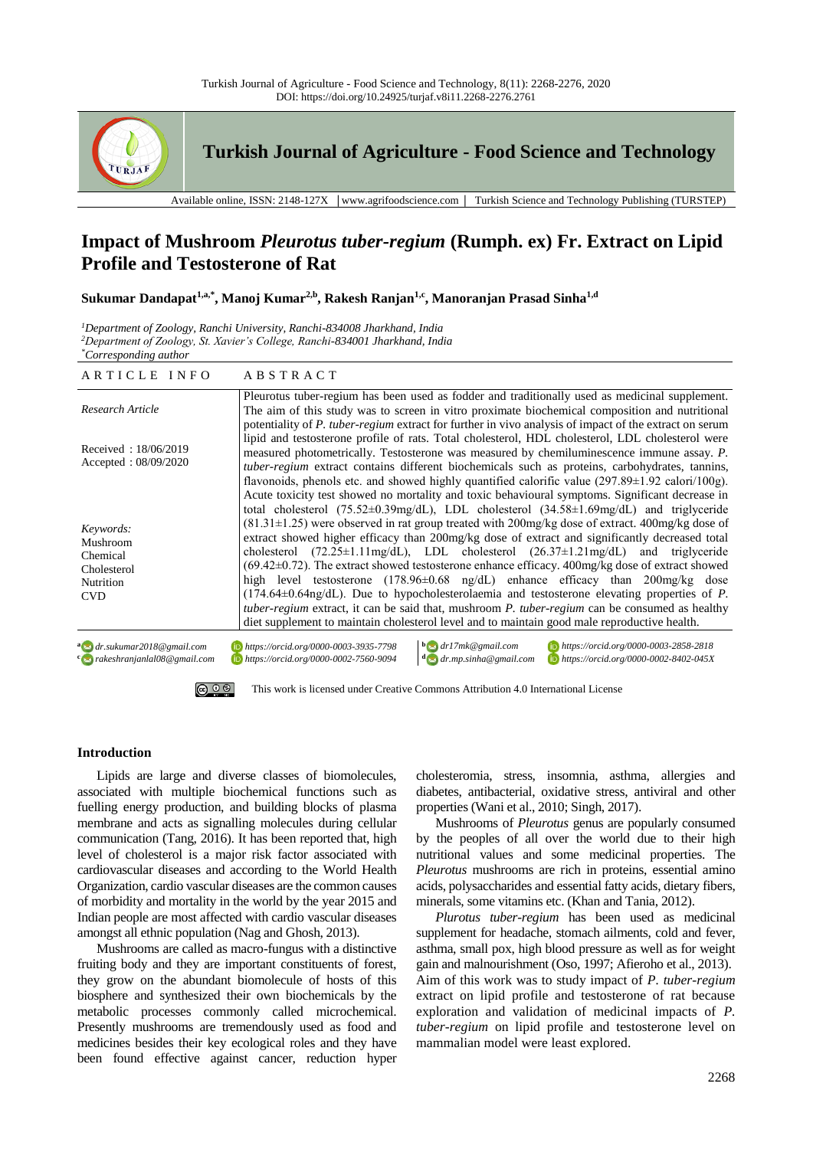

**Turkish Journal of Agriculture - Food Science and Technology**

Available online, ISSN: 2148-127X │www.agrifoodscience.com │ Turkish Science and Technology Publishing (TURSTEP)

# **Impact of Mushroom** *Pleurotus tuber-regium* **(Rumph. ex) Fr. Extract on Lipid Profile and Testosterone of Rat**

**Sukumar Dandapat1,a,\* , Manoj Kumar2,b, Rakesh Ranjan1,c, Manoranjan Prasad Sinha1,d**

*<sup>1</sup>Department of Zoology, Ranchi University, Ranchi-834008 Jharkhand, India <sup>2</sup>Department of Zoology, St. Xavier's College, Ranchi-834001 Jharkhand, India \*Corresponding author*

| ARTICLE INFO                                                                       | ABSTRACT                                                                                                                                                                                                                                                                                                                                                                                                                                                                                                                                                                                                                                                                                                                                                                                                                                                                                                                                                                                                                                    |
|------------------------------------------------------------------------------------|---------------------------------------------------------------------------------------------------------------------------------------------------------------------------------------------------------------------------------------------------------------------------------------------------------------------------------------------------------------------------------------------------------------------------------------------------------------------------------------------------------------------------------------------------------------------------------------------------------------------------------------------------------------------------------------------------------------------------------------------------------------------------------------------------------------------------------------------------------------------------------------------------------------------------------------------------------------------------------------------------------------------------------------------|
| Research Article                                                                   | Pleurotus tuber-regium has been used as fodder and traditionally used as medicinal supplement.<br>The aim of this study was to screen in vitro proximate biochemical composition and nutritional<br>potentiality of P. tuber-regium extract for further in vivo analysis of impact of the extract on serum                                                                                                                                                                                                                                                                                                                                                                                                                                                                                                                                                                                                                                                                                                                                  |
| Received: $18/06/2019$<br>Accepted: 08/09/2020                                     | lipid and testosterone profile of rats. Total cholesterol, HDL cholesterol, LDL cholesterol were<br>measured photometrically. Testosterone was measured by chemiluminescence immune assay. P.<br>tuber-regium extract contains different biochemicals such as proteins, carbohydrates, tannins,<br>flavonoids, phenols etc. and showed highly quantified calorific value $(297.89 \pm 1.92 \text{ calori}/100 \text{g})$ .                                                                                                                                                                                                                                                                                                                                                                                                                                                                                                                                                                                                                  |
| Keywords:<br>Mushroom<br>Chemical<br>Cholesterol<br><b>Nutrition</b><br><b>CVD</b> | Acute toxicity test showed no mortality and toxic behavioural symptoms. Significant decrease in<br>total cholesterol $(75.52 \pm 0.39 \text{mg/dL})$ , LDL cholesterol $(34.58 \pm 1.69 \text{mg/dL})$ and triglyceride<br>$(81.31\pm1.25)$ were observed in rat group treated with 200mg/kg dose of extract. 400mg/kg dose of<br>extract showed higher efficacy than 200mg/kg dose of extract and significantly decreased total<br>cholesterol (72.25±1.11mg/dL), LDL cholesterol (26.37±1.21mg/dL) and triglyceride<br>$(69.42\pm0.72)$ . The extract showed testosterone enhance efficacy. 400mg/kg dose of extract showed<br>high level testosterone (178.96±0.68 ng/dL) enhance efficacy than 200mg/kg dose<br>$(174.64\pm0.64\text{ng/dL})$ . Due to hypocholesterolaemia and testosterone elevating properties of P.<br><i>tuber-regium</i> extract, it can be said that, mushroom <i>P. tuber-regium</i> can be consumed as healthy<br>diet supplement to maintain cholesterol level and to maintain good male reproductive health. |
| $^{\rm a}$ dr.sukumar2018@gmail.com<br><sup>c</sup> o rakeshranjanlal08@gmail.com  | $\mathbf{b}$ dr17mk@gmail.com<br>https://orcid.org/0000-0003-2858-2818<br>https://orcid.org/0000-0003-3935-7798<br>https://orcid.org/0000-0002-7560-9094<br>$\frac{d}{d}$ dr.mp.sinha@gmail.com<br>https://orcid.org/0000-0002-8402-045X                                                                                                                                                                                                                                                                                                                                                                                                                                                                                                                                                                                                                                                                                                                                                                                                    |

# 

[This work is licensed under Creative Commons Attribution 4.0 International License](http://creativecommons.org/licenses/by-nc/4.0/)

### **Introduction**

Lipids are large and diverse classes of biomolecules, associated with multiple biochemical functions such as fuelling energy production, and building blocks of plasma membrane and acts as signalling molecules during cellular communication (Tang, 2016). It has been reported that, high level of cholesterol is a major risk factor associated with cardiovascular diseases and according to the World Health Organization, cardio vascular diseases are the common causes of morbidity and mortality in the world by the year 2015 and Indian people are most affected with cardio vascular diseases amongst all ethnic population (Nag and Ghosh, 2013).

Mushrooms are called as macro-fungus with a distinctive fruiting body and they are important constituents of forest, they grow on the abundant biomolecule of hosts of this biosphere and synthesized their own biochemicals by the metabolic processes commonly called microchemical. Presently mushrooms are tremendously used as food and medicines besides their key ecological roles and they have been found effective against cancer, reduction hyper cholesteromia, stress, insomnia, asthma, allergies and diabetes, antibacterial, oxidative stress, antiviral and other properties (Wani et al., 2010; Singh, 2017).

Mushrooms of *Pleurotus* genus are popularly consumed by the peoples of all over the world due to their high nutritional values and some medicinal properties. The *Pleurotus* mushrooms are rich in proteins, essential amino acids, polysaccharides and essential fatty acids, dietary fibers, minerals, some vitamins etc. (Khan and Tania, 2012).

*Plurotus tuber-regium* has been used as medicinal supplement for headache, stomach ailments, cold and fever, asthma, small pox, high blood pressure as well as for weight gain and malnourishment (Oso, 1997; Afieroho et al., 2013). Aim of this work was to study impact of *P. tuber-regium* extract on lipid profile and testosterone of rat because exploration and validation of medicinal impacts of *P. tuber-regium* on lipid profile and testosterone level on mammalian model were least explored.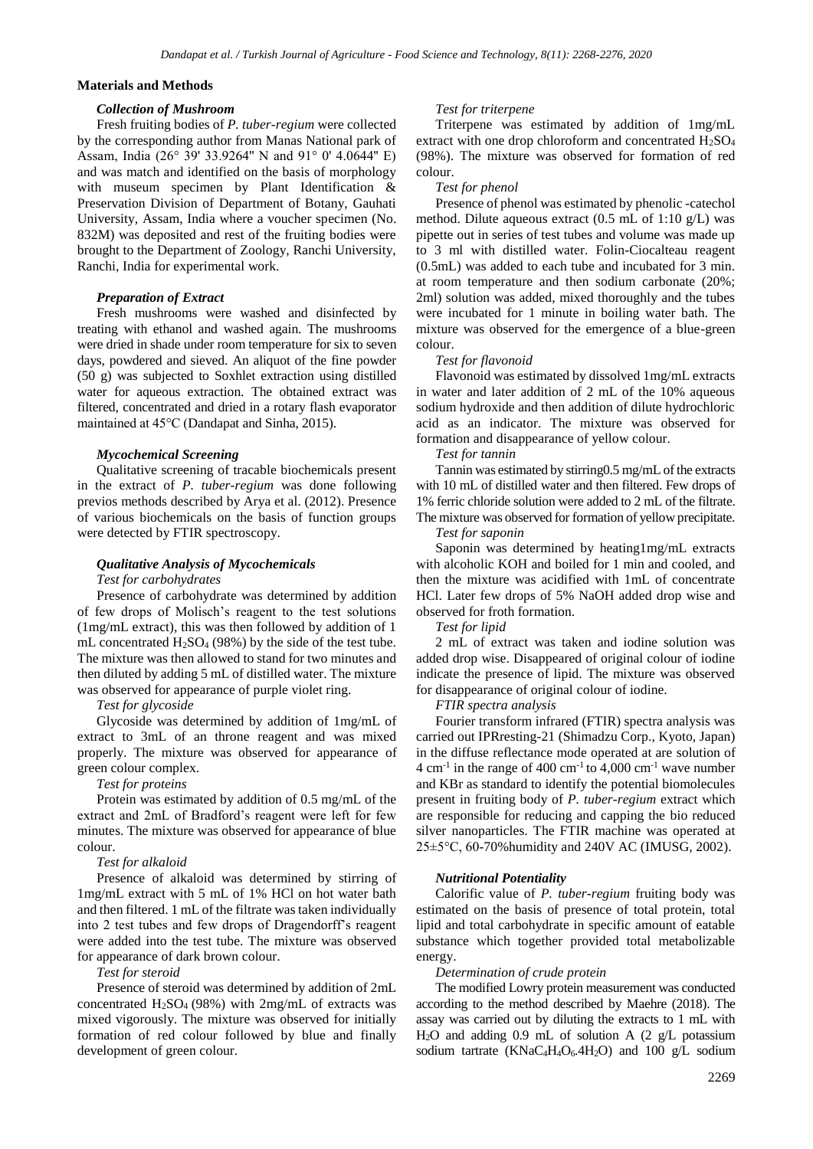# **Materials and Methods**

#### *Collection of Mushroom*

Fresh fruiting bodies of *P. tuber-regium* were collected by the corresponding author from Manas National park of Assam, India (26° 39' 33.9264'' N and 91° 0' 4.0644'' E) and was match and identified on the basis of morphology with museum specimen by Plant Identification & Preservation Division of Department of Botany, Gauhati University, Assam, India where a voucher specimen (No. 832M) was deposited and rest of the fruiting bodies were brought to the Department of Zoology, Ranchi University, Ranchi, India for experimental work.

### *Preparation of Extract*

Fresh mushrooms were washed and disinfected by treating with ethanol and washed again. The mushrooms were dried in shade under room temperature for six to seven days, powdered and sieved. An aliquot of the fine powder (50 g) was subjected to Soxhlet extraction using distilled water for aqueous extraction. The obtained extract was filtered, concentrated and dried in a rotary flash evaporator maintained at 45°C (Dandapat and Sinha, 2015).

### *Mycochemical Screening*

Qualitative screening of tracable biochemicals present in the extract of *P. tuber-regium* was done following previos methods described by Arya et al. (2012). Presence of various biochemicals on the basis of function groups were detected by FTIR spectroscopy.

### *Qualitative Analysis of Mycochemicals*

### *Test for carbohydrates*

Presence of carbohydrate was determined by addition of few drops of Molisch's reagent to the test solutions (1mg/mL extract), this was then followed by addition of 1 mL concentrated  $H_2SO_4$  (98%) by the side of the test tube. The mixture was then allowed to stand for two minutes and then diluted by adding 5 mL of distilled water. The mixture was observed for appearance of purple violet ring.

# *Test for glycoside*

Glycoside was determined by addition of 1mg/mL of extract to 3mL of an throne reagent and was mixed properly. The mixture was observed for appearance of green colour complex.

### *Test for proteins*

Protein was estimated by addition of 0.5 mg/mL of the extract and 2mL of Bradford's reagent were left for few minutes. The mixture was observed for appearance of blue colour.

### *Test for alkaloid*

Presence of alkaloid was determined by stirring of 1mg/mL extract with 5 mL of 1% HCl on hot water bath and then filtered. 1 mL of the filtrate was taken individually into 2 test tubes and few drops of Dragendorff's reagent were added into the test tube. The mixture was observed for appearance of dark brown colour.

#### *Test for steroid*

Presence of steroid was determined by addition of 2mL concentrated  $H_2SO_4$  (98%) with  $2mg/mL$  of extracts was mixed vigorously. The mixture was observed for initially formation of red colour followed by blue and finally development of green colour.

#### *Test for triterpene*

Triterpene was estimated by addition of 1mg/mL extract with one drop chloroform and concentrated  $H_2SO_4$ (98%). The mixture was observed for formation of red colour.

### *Test for phenol*

Presence of phenol was estimated by phenolic -catechol method. Dilute aqueous extract (0.5 mL of 1:10 g/L) was pipette out in series of test tubes and volume was made up to 3 ml with distilled water. Folin-Ciocalteau reagent (0.5mL) was added to each tube and incubated for 3 min. at room temperature and then sodium carbonate (20%; 2ml) solution was added, mixed thoroughly and the tubes were incubated for 1 minute in boiling water bath. The mixture was observed for the emergence of a blue-green colour.

### *Test for flavonoid*

Flavonoid was estimated by dissolved 1mg/mL extracts in water and later addition of 2 mL of the 10% aqueous sodium hydroxide and then addition of dilute hydrochloric acid as an indicator. The mixture was observed for formation and disappearance of yellow colour.

#### *Test for tannin*

Tannin was estimated by stirring0.5 mg/mL of the extracts with 10 mL of distilled water and then filtered. Few drops of 1% ferric chloride solution were added to 2 mL of the filtrate. The mixture was observed for formation of yellow precipitate.

# *Test for saponin*

Saponin was determined by heating1mg/mL extracts with alcoholic KOH and boiled for 1 min and cooled, and then the mixture was acidified with 1mL of concentrate HCl. Later few drops of 5% NaOH added drop wise and observed for froth formation.

### *Test for lipid*

2 mL of extract was taken and iodine solution was added drop wise. Disappeared of original colour of iodine indicate the presence of lipid. The mixture was observed for disappearance of original colour of iodine.

*FTIR spectra analysis*

Fourier transform infrared (FTIR) spectra analysis was carried out IPRresting-21 (Shimadzu Corp., Kyoto, Japan) in the diffuse reflectance mode operated at are solution of  $4 \text{ cm}^{-1}$  in the range of  $400 \text{ cm}^{-1}$  to  $4,000 \text{ cm}^{-1}$  wave number and KBr as standard to identify the potential biomolecules present in fruiting body of *P. tuber-regium* extract which are responsible for reducing and capping the bio reduced silver nanoparticles. The FTIR machine was operated at 25±5°C, 60-70%humidity and 240V AC (IMUSG, 2002).

# *Nutritional Potentiality*

Calorific value of *P. tuber-regium* fruiting body was estimated on the basis of presence of total protein, total lipid and total carbohydrate in specific amount of eatable substance which together provided total metabolizable energy.

### *Determination of crude protein*

The modified Lowry protein measurement was conducted according to the method described by Maehre (2018). The assay was carried out by diluting the extracts to 1 mL with  $H<sub>2</sub>O$  and adding 0.9 mL of solution A (2 g/L potassium sodium tartrate (KNaC<sub>4</sub>H<sub>4</sub>O<sub>6</sub>.4H<sub>2</sub>O) and 100 g/L sodium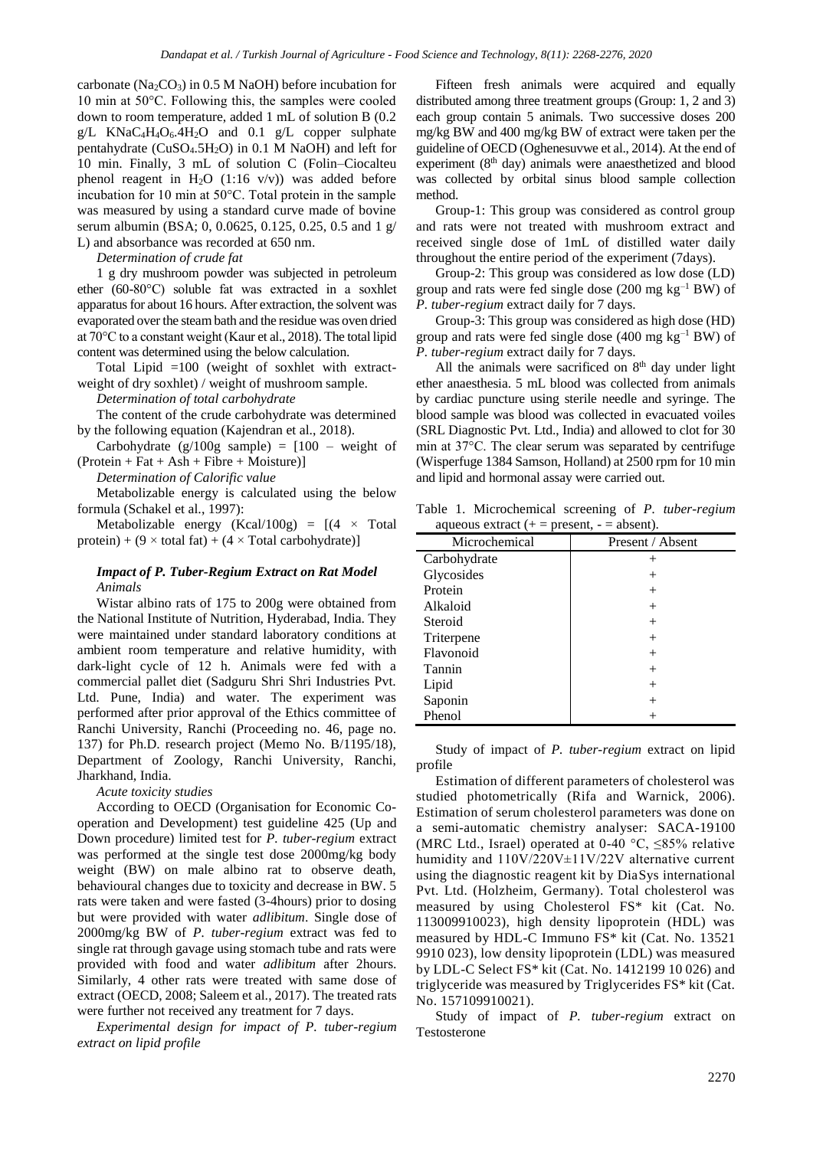carbonate ( $Na<sub>2</sub>CO<sub>3</sub>$ ) in 0.5 M NaOH) before incubation for 10 min at 50°C. Following this, the samples were cooled down to room temperature, added 1 mL of solution B (0.2 g/L KNaC4H4O6.4H2O and 0.1 g/L copper sulphate pentahydrate ( $CuSO<sub>4</sub>$ .5H<sub>2</sub>O) in 0.1 M NaOH) and left for 10 min. Finally, 3 mL of solution C (Folin–Ciocalteu phenol reagent in  $H_2O$  (1:16 v/v)) was added before incubation for 10 min at 50°C. Total protein in the sample was measured by using a standard curve made of bovine serum albumin (BSA; 0, 0.0625, 0.125, 0.25, 0.5 and 1 g/ L) and absorbance was recorded at 650 nm.

*Determination of crude fat*

1 g dry mushroom powder was subjected in petroleum ether (60-80°C) soluble fat was extracted in a soxhlet apparatus for about 16 hours. After extraction, the solvent was evaporated over the steam bath and the residue was oven dried at 70°C to a constant weight (Kaur et al., 2018). The total lipid content was determined using the below calculation.

Total Lipid =100 (weight of soxhlet with extractweight of dry soxhlet) / weight of mushroom sample.

*Determination of total carbohydrate*

The content of the crude carbohydrate was determined by the following equation (Kajendran et al., 2018).

Carbohydrate  $(g/100g \text{ sample}) = [100 - \text{weight of}]$  $(Protein + Fat + Ash + Fibre + Moisture)$ 

*Determination of Calorific value* 

Metabolizable energy is calculated using the below formula (Schakel et al., 1997):

Metabolizable energy (Kcal/100g) =  $[(4 \times \text{Total}]$ protein) +  $(9 \times$  total fat) +  $(4 \times$  Total carbohydrate)]

# *Impact of P. Tuber-Regium Extract on Rat Model Animals*

Wistar albino rats of 175 to 200g were obtained from the National Institute of Nutrition, Hyderabad, India. They were maintained under standard laboratory conditions at ambient room temperature and relative humidity, with dark-light cycle of 12 h. Animals were fed with a commercial pallet diet (Sadguru Shri Shri Industries Pvt. Ltd. Pune, India) and water. The experiment was performed after prior approval of the Ethics committee of Ranchi University, Ranchi (Proceeding no. 46, page no. 137) for Ph.D. research project (Memo No. B/1195/18), Department of Zoology, Ranchi University, Ranchi, Jharkhand, India.

*Acute toxicity studies*

According to OECD (Organisation for Economic Cooperation and Development) test guideline 425 (Up and Down procedure) limited test for *P. tuber-regium* extract was performed at the single test dose 2000mg/kg body weight (BW) on male albino rat to observe death, behavioural changes due to toxicity and decrease in BW. 5 rats were taken and were fasted (3-4hours) prior to dosing but were provided with water *adlibitum*. Single dose of 2000mg/kg BW of *P. tuber-regium* extract was fed to single rat through gavage using stomach tube and rats were provided with food and water *adlibitum* after 2hours. Similarly, 4 other rats were treated with same dose of extract (OECD, 2008; Saleem et al., 2017). The treated rats were further not received any treatment for 7 days.

*Experimental design for impact of P. tuber-regium extract on lipid profile*

Fifteen fresh animals were acquired and equally distributed among three treatment groups (Group: 1, 2 and 3) each group contain 5 animals. Two successive doses 200 mg/kg BW and 400 mg/kg BW of extract were taken per the guideline of OECD (Oghenesuvwe et al., 2014). At the end of experiment (8<sup>th</sup> day) animals were anaesthetized and blood was collected by orbital sinus blood sample collection method.

Group-1: This group was considered as control group and rats were not treated with mushroom extract and received single dose of 1mL of distilled water daily throughout the entire period of the experiment (7days).

Group-2: This group was considered as low dose (LD) group and rats were fed single dose  $(200 \text{ mg kg}^{-1} \text{BW})$  of *P. tuber-regium* extract daily for 7 days.

Group-3: This group was considered as high dose (HD) group and rats were fed single dose  $(400 \text{ mg kg}^{-1} \text{BW})$  of *P. tuber-regium* extract daily for 7 days.

All the animals were sacrificed on  $8<sup>th</sup>$  day under light ether anaesthesia. 5 mL blood was collected from animals by cardiac puncture using sterile needle and syringe. The blood sample was blood was collected in evacuated voiles (SRL Diagnostic Pvt. Ltd., India) and allowed to clot for 30 min at 37°C. The clear serum was separated by centrifuge (Wisperfuge 1384 Samson, Holland) at 2500 rpm for 10 min and lipid and hormonal assay were carried out.

Table 1. Microchemical screening of *P. tuber-regium* aqueous extract  $(+)$  = present,  $-$  = absent).

| Present / Absent |
|------------------|
|                  |
| $^+$             |
| $^+$             |
| $^+$             |
| $^+$             |
| $^+$             |
| $^+$             |
| $^+$             |
| $^{+}$           |
|                  |
|                  |
|                  |

Study of impact of *P. tuber-regium* extract on lipid profile

Estimation of different parameters of cholesterol was studied photometrically (Rifa and Warnick, 2006). Estimation of serum cholesterol parameters was done on a semi-automatic chemistry analyser: SACA-19100 (MRC Ltd., Israel) operated at 0-40 °C,  $\leq$ 85% relative humidity and 110V/220V±11V/22V alternative current using the diagnostic reagent kit by DiaSys international Pvt. Ltd. (Holzheim, Germany). Total cholesterol was measured by using Cholesterol FS\* kit (Cat. No. 113009910023), high density lipoprotein (HDL) was measured by HDL-C Immuno FS\* kit (Cat. No. 13521 9910 023), low density lipoprotein (LDL) was measured by LDL-C Select FS\* kit (Cat. No. 1412199 10 026) and triglyceride was measured by Triglycerides FS\* kit (Cat. No. 157109910021).

Study of impact of *P. tuber-regium* extract on Testosterone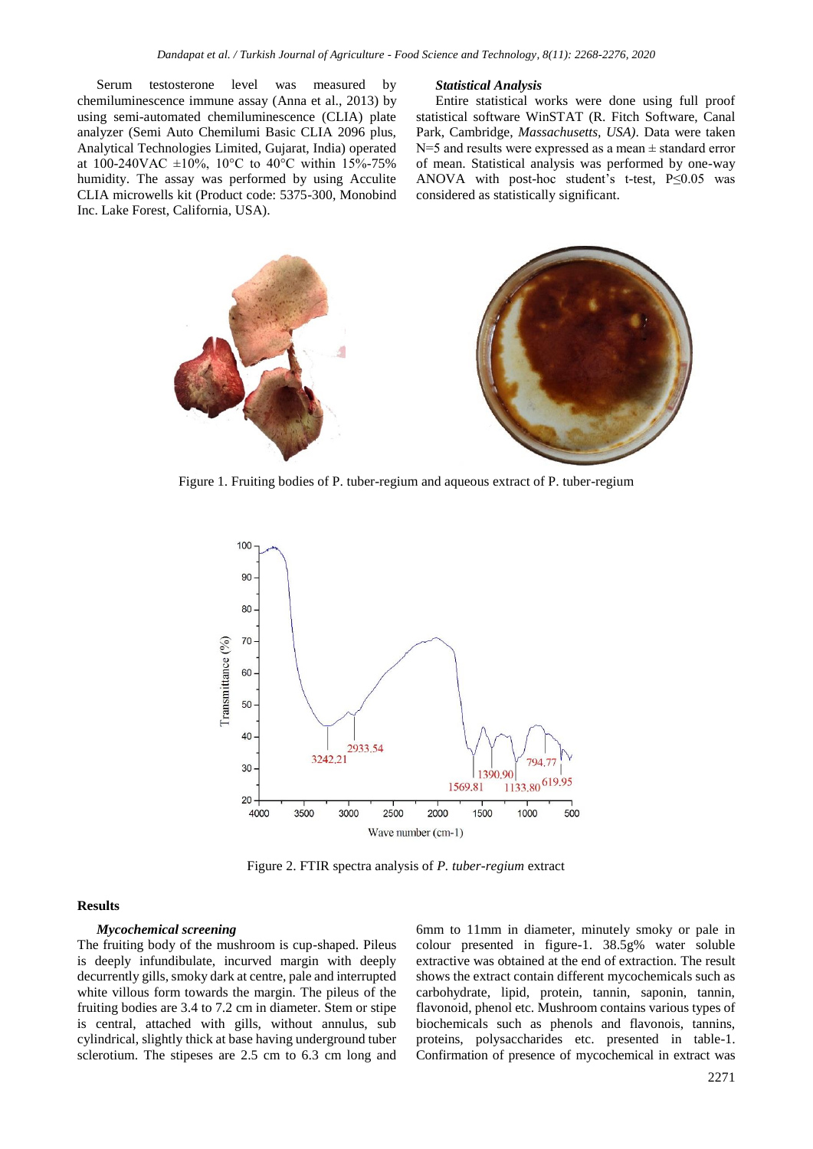Serum testosterone level was measured by chemiluminescence immune assay (Anna et al., 2013) by using semi-automated chemiluminescence (CLIA) plate analyzer (Semi Auto Chemilumi Basic CLIA 2096 plus, Analytical Technologies Limited, Gujarat, India) operated at 100-240VAC  $\pm 10\%$ , 10°C to 40°C within 15%-75% humidity. The assay was performed by using Acculite CLIA microwells kit (Product code: 5375-300, Monobind Inc. Lake Forest, California, USA).

#### *Statistical Analysis*

Entire statistical works were done using full proof statistical software WinSTAT (R. Fitch Software, Canal Park, Cambridge, *Massachusetts, USA)*. Data were taken N=5 and results were expressed as a mean ± standard error of mean. Statistical analysis was performed by one-way ANOVA with post-hoc student's t-test,  $P \le 0.05$  was considered as statistically significant.



Figure 1. Fruiting bodies of P. tuber-regium and aqueous extract of P. tuber-regium



Figure 2. FTIR spectra analysis of *P. tuber-regium* extract

### **Results**

#### *Mycochemical screening*

The fruiting body of the mushroom is cup-shaped. Pileus is deeply infundibulate, incurved margin with deeply decurrently gills, smoky dark at centre, pale and interrupted white villous form towards the margin. The pileus of the fruiting bodies are 3.4 to 7.2 cm in diameter. Stem or stipe is central, attached with gills, without annulus, sub cylindrical, slightly thick at base having underground tuber sclerotium. The stipeses are 2.5 cm to 6.3 cm long and

6mm to 11mm in diameter, minutely smoky or pale in colour presented in figure-1. 38.5g% water soluble extractive was obtained at the end of extraction. The result shows the extract contain different mycochemicals such as carbohydrate, lipid, protein, tannin, saponin, tannin, flavonoid, phenol etc. Mushroom contains various types of biochemicals such as phenols and flavonois, tannins, proteins, polysaccharides etc. presented in table-1. Confirmation of presence of mycochemical in extract was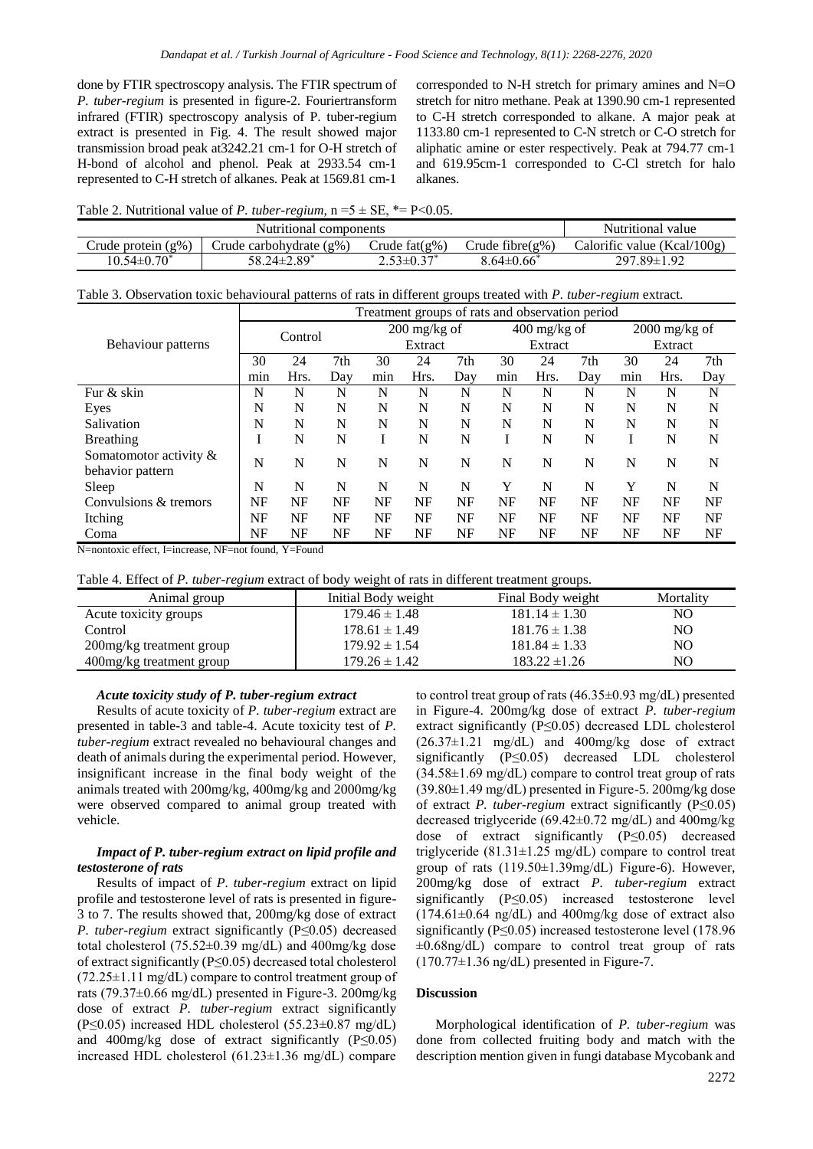done by FTIR spectroscopy analysis. The FTIR spectrum of *P. tuber-regium* is presented in figure-2. Fouriertransform infrared (FTIR) spectroscopy analysis of P. tuber-regium extract is presented in Fig. 4. The result showed major transmission broad peak at3242.21 cm-1 for O-H stretch of H-bond of alcohol and phenol. Peak at 2933.54 cm-1 represented to C-H stretch of alkanes. Peak at 1569.81 cm-1

corresponded to N-H stretch for primary amines and N=O stretch for nitro methane. Peak at 1390.90 cm-1 represented to C-H stretch corresponded to alkane. A major peak at 1133.80 cm-1 represented to C-N stretch or C-O stretch for aliphatic amine or ester respectively. Peak at 794.77 cm-1 and 619.95cm-1 corresponded to C-Cl stretch for halo alkanes.

Table 2. Nutritional value of *P. tuber-regium*,  $n = 5 \pm SE$ ,  $* = P < 0.05$ .

|                    | Nutritional value          |                  |                      |                             |
|--------------------|----------------------------|------------------|----------------------|-----------------------------|
| Crude protein (g%) | Crude carbohydrate $(g\%)$ | Crude $fat(g\%)$ | Crude fibre( $g\%$ ) | Calorific value (Kcal/100g) |
| $10.54 \pm 0.70^*$ | 58.24±2.89 <sup>*</sup>    | $2.53 \pm 0.37'$ | $8.64 \pm 0.66^*$    | 297.89±1.92                 |

|  |  |  |  |  |  |  | Table 3. Observation toxic behavioural patterns of rats in different groups treated with P. tuber-regium extract. |  |  |  |
|--|--|--|--|--|--|--|-------------------------------------------------------------------------------------------------------------------|--|--|--|
|--|--|--|--|--|--|--|-------------------------------------------------------------------------------------------------------------------|--|--|--|

|                           | Treatment groups of rats and observation period |      |     |                |           |                |     |                 |           |           |      |     |
|---------------------------|-------------------------------------------------|------|-----|----------------|-----------|----------------|-----|-----------------|-----------|-----------|------|-----|
|                           | Control                                         |      |     | $200$ mg/kg of |           | $400$ mg/kg of |     | $2000$ mg/kg of |           |           |      |     |
| Behaviour patterns        |                                                 |      |     | Extract        |           | Extract        |     | Extract         |           |           |      |     |
|                           | 30                                              | 24   | 7th | 30             | 24        | 7th            | 30  | 24              | 7th       | 30        | 24   | 7th |
|                           | mın                                             | Hrs. | Day | min            | Hrs.      | Dav            | min | Hrs.            | Dav       | min       | Hrs. | Day |
| Fur & skin                | N                                               | N    | N   | N              | N         | N              | N   | N               | N         | N         | N    | N   |
| Eyes                      | N                                               | N    | N   | N              | N         | N              | N   | N               | N         | N         | N    | N   |
| Salivation                | N                                               | N    | N   | N              | N         | N              | N   | N               | N         | N         | N    | N   |
| <b>Breathing</b>          |                                                 | N    | N   |                | N         | N              |     | N               | N         |           | N    | N   |
| Somatomotor activity $\&$ | N                                               | N    | N   | N              | N         | N              | N   | N               | N         | N         | N    | N   |
| behavior pattern          |                                                 |      |     |                |           |                |     |                 |           |           |      |     |
| Sleep                     | N                                               | N    | N   | N              | N         | N              | Y   | N               | N         | Y         | N    | N   |
| Convulsions & tremors     | NF                                              | NF   | NF  | NF             | <b>NF</b> | <b>NF</b>      | NF  | NF              | <b>NF</b> | <b>NF</b> | NF   | NF  |
| Itching                   | NF                                              | NF   | NF  | NF             | <b>NF</b> | NF             | NF  | NF              | NF        | NF        | NF   | NF  |
| Coma                      | NF                                              | NF   | NF  | NF             | <b>NF</b> | NF             | NF  | NF              | NF        | <b>NF</b> | NF   | NF  |

N=nontoxic effect, I=increase, NF=not found, Y=Found

Table 4. Effect of *P. tuber-regium* extract of body weight of rats in different treatment groups.

| Animal group             | Initial Body weight | Final Body weight | Mortality |
|--------------------------|---------------------|-------------------|-----------|
| Acute toxicity groups    | $179.46 \pm 1.48$   | $181.14 \pm 1.30$ | NO.       |
| Control                  | $178.61 \pm 1.49$   | $181.76 \pm 1.38$ | NO.       |
| 200mg/kg treatment group | $179.92 \pm 1.54$   | $181.84 \pm 1.33$ | NO.       |
| 400mg/kg treatment group | $179.26 \pm 1.42$   | $183.22 \pm 1.26$ | NO.       |

# *Acute toxicity study of P. tuber-regium extract*

Results of acute toxicity of *P. tuber-regium* extract are presented in table-3 and table-4. Acute toxicity test of *P. tuber-regium* extract revealed no behavioural changes and death of animals during the experimental period. However, insignificant increase in the final body weight of the animals treated with 200mg/kg, 400mg/kg and 2000mg/kg were observed compared to animal group treated with vehicle.

# *Impact of P. tuber-regium extract on lipid profile and testosterone of rats*

Results of impact of *P. tuber-regium* extract on lipid profile and testosterone level of rats is presented in figure-3 to 7. The results showed that, 200mg/kg dose of extract *P. tuber-regium* extract significantly (P≤0.05) decreased total cholesterol (75.52±0.39 mg/dL) and 400mg/kg dose of extract significantly (P≤0.05) decreased total cholesterol (72.25±1.11 mg/dL) compare to control treatment group of rats (79.37±0.66 mg/dL) presented in Figure-3. 200mg/kg dose of extract *P. tuber-regium* extract significantly (P $\leq$ 0.05) increased HDL cholesterol (55.23 $\pm$ 0.87 mg/dL) and 400mg/kg dose of extract significantly  $(P \le 0.05)$ increased HDL cholesterol (61.23±1.36 mg/dL) compare to control treat group of rats  $(46.35\pm0.93 \text{ mg/dL})$  presented in Figure-4. 200mg/kg dose of extract *P. tuber-regium* extract significantly (P≤0.05) decreased LDL cholesterol  $(26.37\pm1.21 \text{ mg/dL})$  and  $400 \text{mg/kg}$  dose of extract significantly (P≤0.05) decreased LDL cholesterol  $(34.58\pm1.69 \text{ mg/dL})$  compare to control treat group of rats  $(39.80\pm1.49 \text{ mg/dL})$  presented in Figure-5. 200mg/kg dose of extract *P. tuber-regium* extract significantly (P≤0.05) decreased triglyceride (69.42±0.72 mg/dL) and 400mg/kg dose of extract significantly (P≤0.05) decreased triglyceride  $(81.31 \pm 1.25 \text{ mg/dL})$  compare to control treat group of rats (119.50±1.39mg/dL) Figure-6). However, 200mg/kg dose of extract *P. tuber-regium* extract significantly (P≤0.05) increased testosterone level  $(174.61\pm0.64 \text{ ng/dL})$  and  $400 \text{ mg/kg}$  dose of extract also significantly (P≤0.05) increased testosterone level (178.96  $\pm 0.68$ ng/dL) compare to control treat group of rats  $(170.77\pm1.36 \text{ ng/dL})$  presented in Figure-7.

# **Discussion**

Morphological identification of *P. tuber-regium* was done from collected fruiting body and match with the description mention given in fungi database Mycobank and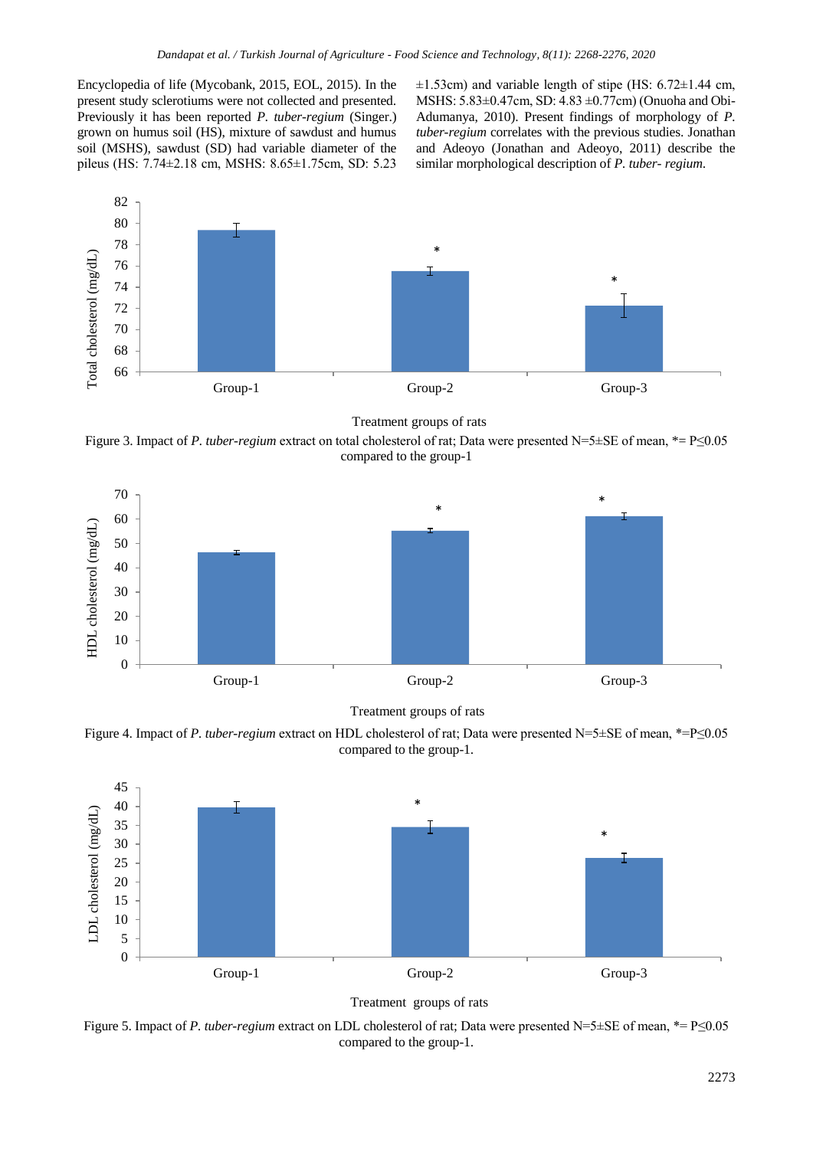Encyclopedia of life (Mycobank, 2015, EOL, 2015). In the present study sclerotiums were not collected and presented. Previously it has been reported *P. tuber-regium* (Singer.) grown on humus soil (HS), mixture of sawdust and humus soil (MSHS), sawdust (SD) had variable diameter of the pileus (HS: 7.74±2.18 cm, MSHS: 8.65±1.75cm, SD: 5.23  $\pm$ 1.53cm) and variable length of stipe (HS: 6.72 $\pm$ 1.44 cm, MSHS: 5.83±0.47cm, SD: 4.83 ±0.77cm) (Onuoha and Obi-Adumanya, 2010). Present findings of morphology of *P. tuber-regium* correlates with the previous studies. Jonathan and Adeoyo (Jonathan and Adeoyo, 2011) describe the similar morphological description of *P. tuber- regium*.



Treatment groups of rats

Figure 3. Impact of *P. tuber-regium* extract on total cholesterol of rat; Data were presented N=5±SE of mean, \*= P≤0.05 compared to the group-1



Treatment groups of rats

Figure 4. Impact of *P. tuber-regium* extract on HDL cholesterol of rat; Data were presented N=5±SE of mean, \*=P≤0.05 compared to the group-1.





Figure 5. Impact of *P. tuber-regium* extract on LDL cholesterol of rat; Data were presented N=5±SE of mean, \*= P≤0.05 compared to the group-1.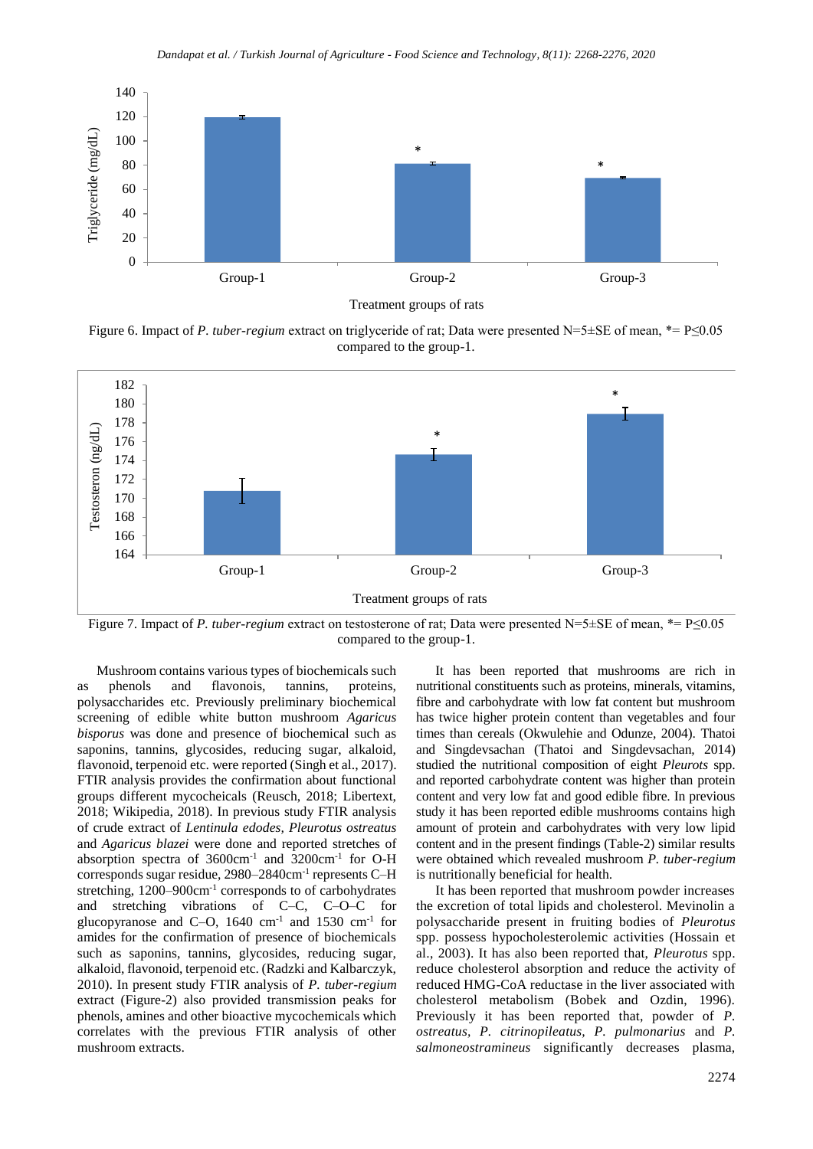

Treatment groups of rats

Figure 6. Impact of *P. tuber-regium* extract on triglyceride of rat; Data were presented N=5±SE of mean, \*= P≤0.05 compared to the group-1.



Figure 7. Impact of *P. tuber-regium* extract on testosterone of rat; Data were presented N=5±SE of mean, \*= P≤0.05 compared to the group-1.

Mushroom contains various types of biochemicals such as phenols and flavonois, tannins, proteins, polysaccharides etc. Previously preliminary biochemical screening of edible white button mushroom *Agaricus bisporus* was done and presence of biochemical such as saponins, tannins, glycosides, reducing sugar, alkaloid, flavonoid, terpenoid etc. were reported (Singh et al., 2017). FTIR analysis provides the confirmation about functional groups different mycocheicals (Reusch, 2018; Libertext, 2018; Wikipedia, 2018). In previous study FTIR analysis of crude extract of *Lentinula edodes, Pleurotus ostreatus*  and *Agaricus blazei* were done and reported stretches of absorption spectra of 3600cm<sup>-1</sup> and 3200cm<sup>-1</sup> for O-H corresponds sugar residue, 2980–2840cm<sup>-1</sup> represents C-H stretching, 1200–900cm<sup>-1</sup> corresponds to of carbohydrates and stretching vibrations of C–C, C–O–C for glucopyranose and C-O,  $1640 \text{ cm}^{-1}$  and  $1530 \text{ cm}^{-1}$  for amides for the confirmation of presence of biochemicals such as saponins, tannins, glycosides, reducing sugar, alkaloid, flavonoid, terpenoid etc. (Radzki and Kalbarczyk, 2010). In present study FTIR analysis of *P. tuber-regium* extract (Figure-2) also provided transmission peaks for phenols, amines and other bioactive mycochemicals which correlates with the previous FTIR analysis of other mushroom extracts.

It has been reported that mushrooms are rich in nutritional constituents such as proteins, minerals, vitamins, fibre and carbohydrate with low fat content but mushroom has twice higher protein content than vegetables and four times than cereals (Okwulehie and Odunze, 2004). Thatoi and Singdevsachan (Thatoi and Singdevsachan, 2014) studied the nutritional composition of eight *Pleurots* spp. and reported carbohydrate content was higher than protein content and very low fat and good edible fibre. In previous study it has been reported edible mushrooms contains high amount of protein and carbohydrates with very low lipid content and in the present findings (Table-2) similar results were obtained which revealed mushroom *P. tuber-regium* is nutritionally beneficial for health.

It has been reported that mushroom powder increases the excretion of total lipids and cholesterol. Mevinolin a polysaccharide present in fruiting bodies of *Pleurotus* spp. possess hypocholesterolemic activities (Hossain et al., 2003). It has also been reported that, *Pleurotus* spp. reduce cholesterol absorption and reduce the activity of reduced HMG-CoA reductase in the liver associated with cholesterol metabolism (Bobek and Ozdin, 1996). Previously it has been reported that, powder of *P. ostreatus, P. citrinopileatus, P. pulmonarius* and *P. salmoneostramineus* significantly decreases plasma,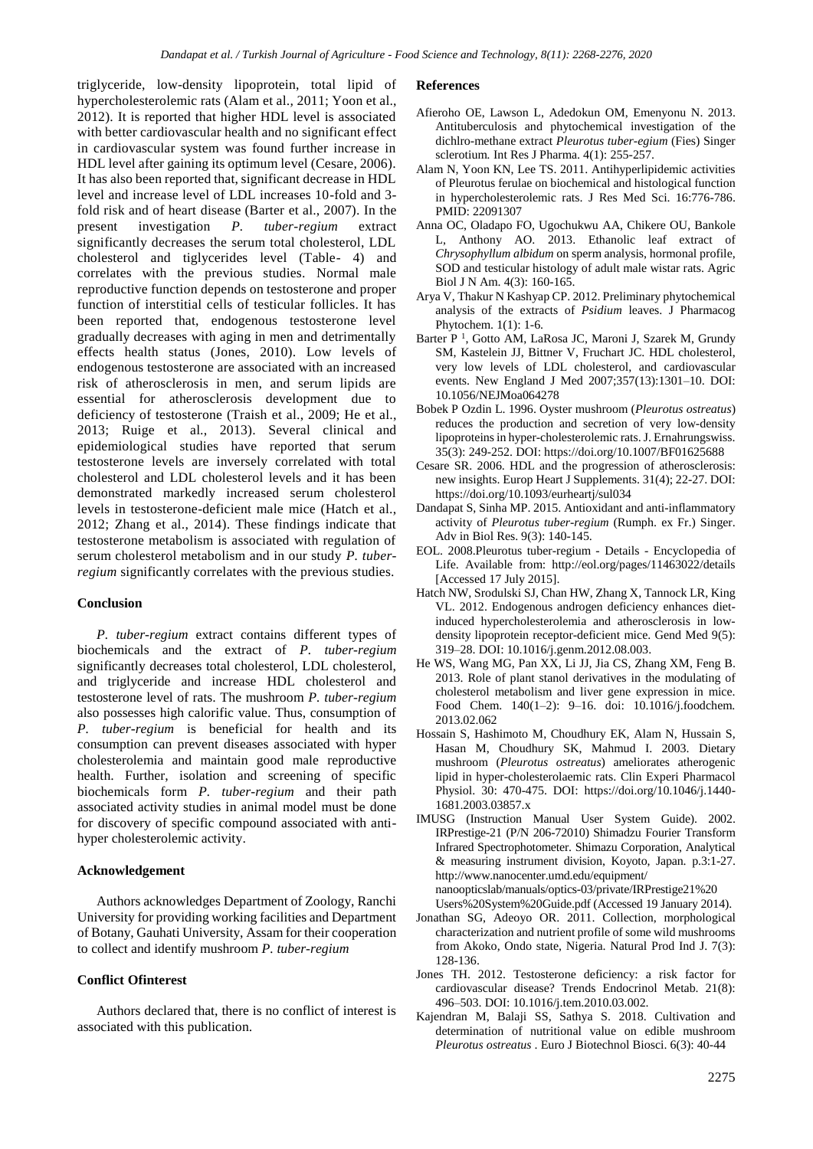triglyceride, low-density lipoprotein, total lipid of hypercholesterolemic rats (Alam et al.*,* 2011; Yoon et al., 2012). It is reported that higher HDL level is associated with better cardiovascular health and no significant effect in cardiovascular system was found further increase in HDL level after gaining its optimum level (Cesare, 2006). It has also been reported that, significant decrease in HDL level and increase level of LDL increases 10-fold and 3 fold risk and of heart disease (Barter et al., 2007). In the present investigation *P. tuber-regium* extract significantly decreases the serum total cholesterol, LDL cholesterol and tiglycerides level (Table- 4) and correlates with the previous studies. Normal male reproductive function depends on testosterone and proper function of interstitial cells of testicular follicles. It has been reported that, endogenous testosterone level gradually decreases with aging in men and detrimentally effects health status (Jones, 2010). Low levels of endogenous testosterone are associated with an increased risk of atherosclerosis in men, and serum lipids are essential for atherosclerosis development due to deficiency of testosterone (Traish et al., 2009; He et al., 2013; Ruige et al., 2013). Several clinical and epidemiological studies have reported that serum testosterone levels are inversely correlated with total cholesterol and LDL cholesterol levels and it has been demonstrated markedly increased serum cholesterol levels in testosterone-deficient male mice (Hatch et al., 2012; Zhang et al., 2014). These findings indicate that testosterone metabolism is associated with regulation of serum cholesterol metabolism and in our study *P. tuberregium* significantly correlates with the previous studies.

# **Conclusion**

*P. tuber-regium* extract contains different types of biochemicals and the extract of *P. tuber-regium*  significantly decreases total cholesterol, LDL cholesterol, and triglyceride and increase HDL cholesterol and testosterone level of rats. The mushroom *P. tuber-regium* also possesses high calorific value. Thus, consumption of *P. tuber-regium* is beneficial for health and its consumption can prevent diseases associated with hyper cholesterolemia and maintain good male reproductive health. Further, isolation and screening of specific biochemicals form *P. tuber-regium* and their path associated activity studies in animal model must be done for discovery of specific compound associated with antihyper cholesterolemic activity.

# **Acknowledgement**

Authors acknowledges Department of Zoology, Ranchi University for providing working facilities and Department of Botany, Gauhati University, Assam for their cooperation to collect and identify mushroom *P. tuber-regium*

# **Conflict Ofinterest**

Authors declared that, there is no conflict of interest is associated with this publication.

#### **References**

- Afieroho OE, Lawson L, Adedokun OM, Emenyonu N. 2013. Antituberculosis and phytochemical investigation of the dichlro-methane extract *Pleurotus tuber-egium* (Fies) Singer sclerotium*.* Int Res J Pharma. 4(1): 255-257.
- Alam N, Yoon KN, Lee TS. 2011. Antihyperlipidemic activities of Pleurotus ferulae on biochemical and histological function in hypercholesterolemic rats. J Res Med Sci. 16:776-786. PMID: 22091307
- Anna OC, Oladapo FO, Ugochukwu AA, Chikere OU, Bankole L, Anthony AO. 2013. Ethanolic leaf extract of *Chrysophyllum albidum* on sperm analysis, hormonal profile, SOD and testicular histology of adult male wistar rats. Agric Biol J N Am. 4(3): 160-165.
- Arya V, Thakur N Kashyap CP. 2012. Preliminary phytochemical analysis of the extracts of *Psidium* leaves. J Pharmacog Phytochem. 1(1): 1-6.
- Barter P<sup>1</sup>, Gotto AM, LaRosa JC, Maroni J, Szarek M, Grundy SM, Kastelein JJ, Bittner V, Fruchart JC. HDL cholesterol, very low levels of LDL cholesterol, and cardiovascular events. New England J Med 2007;357(13):1301–10. DOI: 10.1056/NEJMoa064278
- Bobek P Ozdin L. 1996. Oyster mushroom (*Pleurotus ostreatus*) reduces the production and secretion of very low-density lipoproteins in hyper-cholesterolemic rats. J. Ernahrungswiss. 35(3): 249-252. DOI: https://doi.org/10.1007/BF01625688
- Cesare SR. 2006. HDL and the progression of atherosclerosis: new insights. Europ Heart J Supplements. 31(4); 22-27. DOI: https://doi.org/10.1093/eurheartj/sul034
- Dandapat S, Sinha MP. 2015. Antioxidant and anti-inflammatory activity of *Pleurotus tuber-regium* (Rumph. ex Fr.) Singer. Adv in Biol Res. 9(3): 140-145.
- EOL. 2008.Pleurotus tuber-regium Details Encyclopedia of Life. Available from: http://eol.org/pages/11463022/details [Accessed 17 July 2015].
- Hatch NW, Srodulski SJ, Chan HW, Zhang X, Tannock LR, King VL. 2012. Endogenous androgen deficiency enhances dietinduced hypercholesterolemia and atherosclerosis in lowdensity lipoprotein receptor-deficient mice. Gend Med 9(5): 319–28. DOI: 10.1016/j.genm.2012.08.003.
- He WS, Wang MG, Pan XX, Li JJ, Jia CS, Zhang XM, Feng B. 2013. Role of plant stanol derivatives in the modulating of cholesterol metabolism and liver gene expression in mice. Food Chem. 140(1–2): 9–16. doi: 10.1016/j.foodchem. 2013.02.062
- Hossain S, Hashimoto M, Choudhury EK, Alam N, Hussain S, Hasan M, Choudhury SK, Mahmud I. 2003. Dietary mushroom (*Pleurotus ostreatus*) ameliorates atherogenic lipid in hyper-cholesterolaemic rats. Clin Experi Pharmacol Physiol. 30: 470-475. DOI: https://doi.org/10.1046/j.1440- 1681.2003.03857.x
- IMUSG (Instruction Manual User System Guide). 2002. IRPrestige-21 (P/N 206-72010) Shimadzu Fourier Transform Infrared Spectrophotometer. Shimazu Corporation, Analytical & measuring instrument division, Koyoto, Japan. p.3:1-27. http://www.nanocenter.umd.edu/equipment/ nanoopticslab/manuals/optics-03/private/IRPrestige21%20 Users%20System%20Guide.pdf (Accessed 19 January 2014).
- Jonathan SG, Adeoyo OR. 2011. Collection, morphological characterization and nutrient profile of some wild mushrooms from Akoko, Ondo state, Nigeria. Natural Prod Ind J. 7(3): 128-136.
- Jones TH. 2012. Testosterone deficiency: a risk factor for cardiovascular disease? Trends Endocrinol Metab. 21(8): 496–503. DOI: 10.1016/j.tem.2010.03.002.
- Kajendran M, Balaji SS, Sathya S. 2018. Cultivation and determination of nutritional value on edible mushroom *Pleurotus ostreatus* . Euro J Biotechnol Biosci. 6(3): 40-44